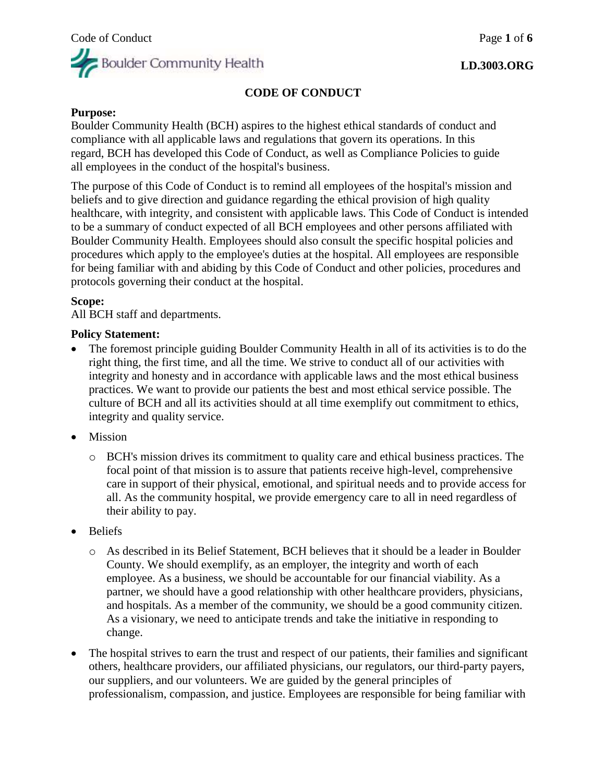## **CODE OF CONDUCT**

### **Purpose:**

Boulder Community Health (BCH) aspires to the highest ethical standards of conduct and compliance with all applicable laws and regulations that govern its operations. In this regard, BCH has developed this Code of Conduct, as well as Compliance Policies to guide all employees in the conduct of the hospital's business.

The purpose of this Code of Conduct is to remind all employees of the hospital's mission and beliefs and to give direction and guidance regarding the ethical provision of high quality healthcare, with integrity, and consistent with applicable laws. This Code of Conduct is intended to be a summary of conduct expected of all BCH employees and other persons affiliated with Boulder Community Health. Employees should also consult the specific hospital policies and procedures which apply to the employee's duties at the hospital. All employees are responsible for being familiar with and abiding by this Code of Conduct and other policies, procedures and protocols governing their conduct at the hospital.

### **Scope:**

All BCH staff and departments.

### **Policy Statement:**

- The foremost principle guiding Boulder Community Health in all of its activities is to do the right thing, the first time, and all the time. We strive to conduct all of our activities with integrity and honesty and in accordance with applicable laws and the most ethical business practices. We want to provide our patients the best and most ethical service possible. The culture of BCH and all its activities should at all time exemplify out commitment to ethics, integrity and quality service.
- Mission
	- o BCH's mission drives its commitment to quality care and ethical business practices. The focal point of that mission is to assure that patients receive high-level, comprehensive care in support of their physical, emotional, and spiritual needs and to provide access for all. As the community hospital, we provide emergency care to all in need regardless of their ability to pay.
- Beliefs
	- o As described in its Belief Statement, BCH believes that it should be a leader in Boulder County. We should exemplify, as an employer, the integrity and worth of each employee. As a business, we should be accountable for our financial viability. As a partner, we should have a good relationship with other healthcare providers, physicians, and hospitals. As a member of the community, we should be a good community citizen. As a visionary, we need to anticipate trends and take the initiative in responding to change.
- The hospital strives to earn the trust and respect of our patients, their families and significant others, healthcare providers, our affiliated physicians, our regulators, our third-party payers, our suppliers, and our volunteers. We are guided by the general principles of professionalism, compassion, and justice. Employees are responsible for being familiar with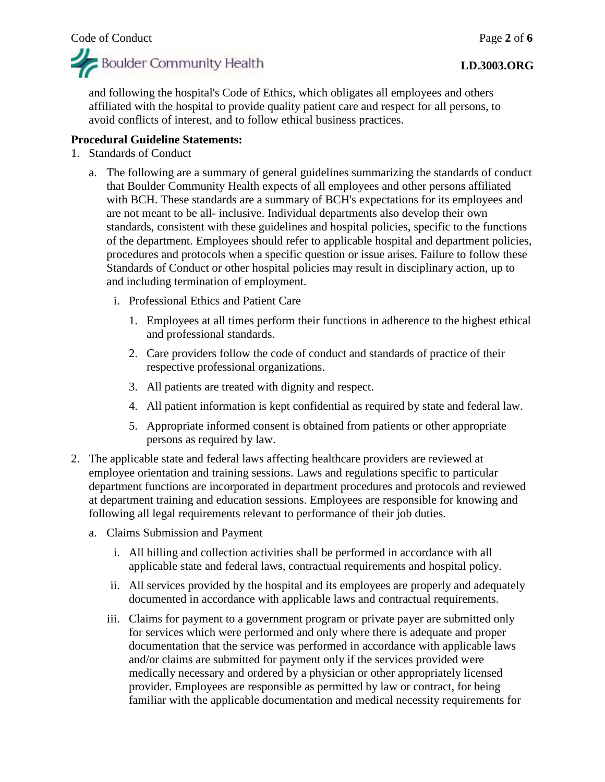

## **LD.3003.ORG**

and following the hospital's Code of Ethics, which obligates all employees and others affiliated with the hospital to provide quality patient care and respect for all persons, to avoid conflicts of interest, and to follow ethical business practices.

# **Procedural Guideline Statements:**

- 1. Standards of Conduct
	- a. The following are a summary of general guidelines summarizing the standards of conduct that Boulder Community Health expects of all employees and other persons affiliated with BCH. These standards are a summary of BCH's expectations for its employees and are not meant to be all- inclusive. Individual departments also develop their own standards, consistent with these guidelines and hospital policies, specific to the functions of the department. Employees should refer to applicable hospital and department policies, procedures and protocols when a specific question or issue arises. Failure to follow these Standards of Conduct or other hospital policies may result in disciplinary action, up to and including termination of employment.
		- i. Professional Ethics and Patient Care
			- 1. Employees at all times perform their functions in adherence to the highest ethical and professional standards.
			- 2. Care providers follow the code of conduct and standards of practice of their respective professional organizations.
			- 3. All patients are treated with dignity and respect.
			- 4. All patient information is kept confidential as required by state and federal law.
			- 5. Appropriate informed consent is obtained from patients or other appropriate persons as required by law.
- 2. The applicable state and federal laws affecting healthcare providers are reviewed at employee orientation and training sessions. Laws and regulations specific to particular department functions are incorporated in department procedures and protocols and reviewed at department training and education sessions. Employees are responsible for knowing and following all legal requirements relevant to performance of their job duties.
	- a. Claims Submission and Payment
		- i. All billing and collection activities shall be performed in accordance with all applicable state and federal laws, contractual requirements and hospital policy.
		- ii. All services provided by the hospital and its employees are properly and adequately documented in accordance with applicable laws and contractual requirements.
		- iii. Claims for payment to a government program or private payer are submitted only for services which were performed and only where there is adequate and proper documentation that the service was performed in accordance with applicable laws and/or claims are submitted for payment only if the services provided were medically necessary and ordered by a physician or other appropriately licensed provider. Employees are responsible as permitted by law or contract, for being familiar with the applicable documentation and medical necessity requirements for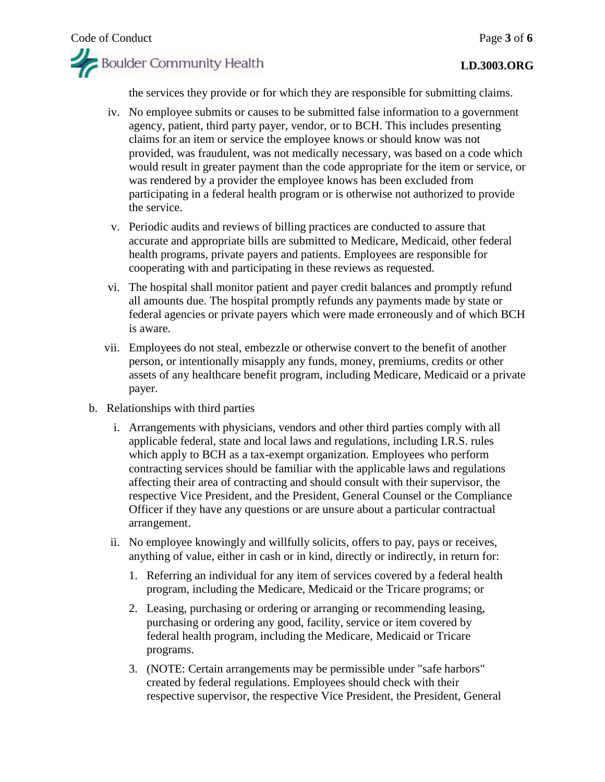

the services they provide or for which they are responsible for submitting claims.

- iv. No employee submits or causes to be submitted false information to a government agency, patient, third party payer, vendor, or to BCH. This includes presenting claims for an item or service the employee knows or should know was not provided, was fraudulent, was not medically necessary, was based on a code which would result in greater payment than the code appropriate for the item or service, or was rendered by a provider the employee knows has been excluded from participating in a federal health program or is otherwise not authorized to provide the service.
- v. Periodic audits and reviews of billing practices are conducted to assure that accurate and appropriate bills are submitted to Medicare, Medicaid, other federal health programs, private payers and patients. Employees are responsible for cooperating with and participating in these reviews as requested.
- vi. The hospital shall monitor patient and payer credit balances and promptly refund all amounts due. The hospital promptly refunds any payments made by state or federal agencies or private payers which were made erroneously and of which BCH is aware.
- vii. Employees do not steal, embezzle or otherwise convert to the benefit of another person, or intentionally misapply any funds, money, premiums, credits or other assets of any healthcare benefit program, including Medicare, Medicaid or a private payer.
- b. Relationships with third parties
	- i. Arrangements with physicians, vendors and other third parties comply with all applicable federal, state and local laws and regulations, including I.R.S. rules which apply to BCH as a tax-exempt organization. Employees who perform contracting services should be familiar with the applicable laws and regulations affecting their area of contracting and should consult with their supervisor, the respective Vice President, and the President, General Counsel or the Compliance Officer if they have any questions or are unsure about a particular contractual arrangement.
	- ii. No employee knowingly and willfully solicits, offers to pay, pays or receives, anything of value, either in cash or in kind, directly or indirectly, in return for:
		- 1. Referring an individual for any item of services covered by a federal health program, including the Medicare, Medicaid or the Tricare programs; or
		- 2. Leasing, purchasing or ordering or arranging or recommending leasing, purchasing or ordering any good, facility, service or item covered by federal health program, including the Medicare, Medicaid or Tricare programs.
		- 3. (NOTE: Certain arrangements may be permissible under "safe harbors" created by federal regulations. Employees should check with their respective supervisor, the respective Vice President, the President, General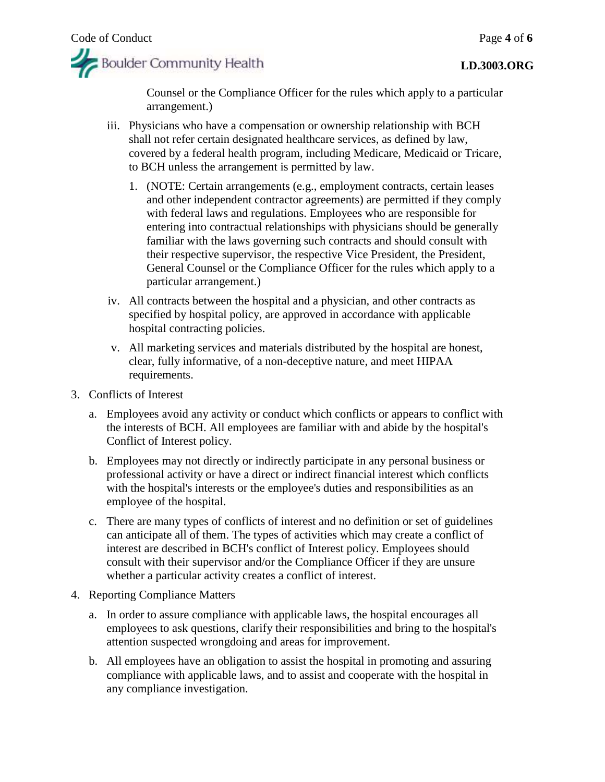

Counsel or the Compliance Officer for the rules which apply to a particular arrangement.)

- iii. Physicians who have a compensation or ownership relationship with BCH shall not refer certain designated healthcare services, as defined by law, covered by a federal health program, including Medicare, Medicaid or Tricare, to BCH unless the arrangement is permitted by law.
	- 1. (NOTE: Certain arrangements (e.g., employment contracts, certain leases and other independent contractor agreements) are permitted if they comply with federal laws and regulations. Employees who are responsible for entering into contractual relationships with physicians should be generally familiar with the laws governing such contracts and should consult with their respective supervisor, the respective Vice President, the President, General Counsel or the Compliance Officer for the rules which apply to a particular arrangement.)
- iv. All contracts between the hospital and a physician, and other contracts as specified by hospital policy, are approved in accordance with applicable hospital contracting policies.
- v. All marketing services and materials distributed by the hospital are honest, clear, fully informative, of a non-deceptive nature, and meet HIPAA requirements.
- 3. Conflicts of Interest
	- a. Employees avoid any activity or conduct which conflicts or appears to conflict with the interests of BCH. All employees are familiar with and abide by the hospital's Conflict of Interest policy.
	- b. Employees may not directly or indirectly participate in any personal business or professional activity or have a direct or indirect financial interest which conflicts with the hospital's interests or the employee's duties and responsibilities as an employee of the hospital.
	- c. There are many types of conflicts of interest and no definition or set of guidelines can anticipate all of them. The types of activities which may create a conflict of interest are described in BCH's conflict of Interest policy. Employees should consult with their supervisor and/or the Compliance Officer if they are unsure whether a particular activity creates a conflict of interest.
- 4. Reporting Compliance Matters
	- a. In order to assure compliance with applicable laws, the hospital encourages all employees to ask questions, clarify their responsibilities and bring to the hospital's attention suspected wrongdoing and areas for improvement.
	- b. All employees have an obligation to assist the hospital in promoting and assuring compliance with applicable laws, and to assist and cooperate with the hospital in any compliance investigation.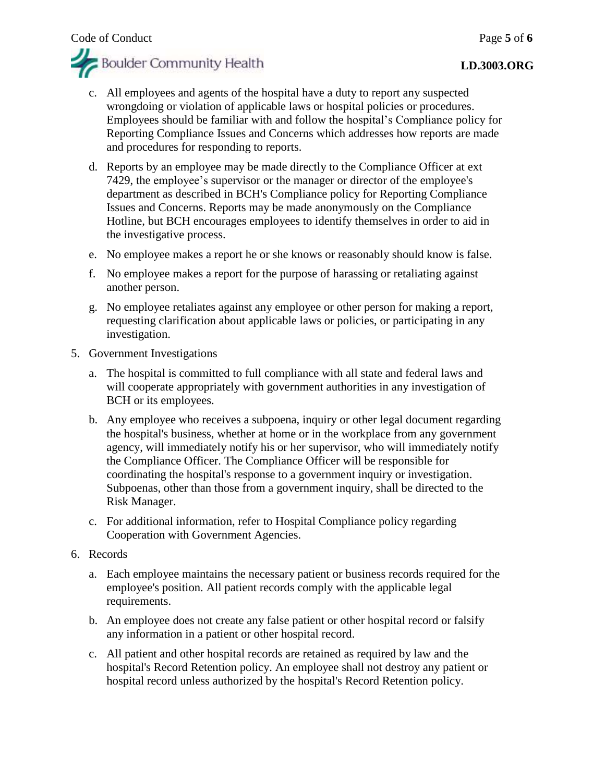

### **LD.3003.ORG**

- c. All employees and agents of the hospital have a duty to report any suspected wrongdoing or violation of applicable laws or hospital policies or procedures. Employees should be familiar with and follow the hospital's Compliance policy for Reporting Compliance Issues and Concerns which addresses how reports are made and procedures for responding to reports.
- d. Reports by an employee may be made directly to the Compliance Officer at ext 7429, the employee's supervisor or the manager or director of the employee's department as described in BCH's Compliance policy for Reporting Compliance Issues and Concerns. Reports may be made anonymously on the Compliance Hotline, but BCH encourages employees to identify themselves in order to aid in the investigative process.
- e. No employee makes a report he or she knows or reasonably should know is false.
- f. No employee makes a report for the purpose of harassing or retaliating against another person.
- g. No employee retaliates against any employee or other person for making a report, requesting clarification about applicable laws or policies, or participating in any investigation.
- 5. Government Investigations
	- a. The hospital is committed to full compliance with all state and federal laws and will cooperate appropriately with government authorities in any investigation of BCH or its employees.
	- b. Any employee who receives a subpoena, inquiry or other legal document regarding the hospital's business, whether at home or in the workplace from any government agency, will immediately notify his or her supervisor, who will immediately notify the Compliance Officer. The Compliance Officer will be responsible for coordinating the hospital's response to a government inquiry or investigation. Subpoenas, other than those from a government inquiry, shall be directed to the Risk Manager.
	- c. For additional information, refer to Hospital Compliance policy regarding Cooperation with Government Agencies.
- 6. Records
	- a. Each employee maintains the necessary patient or business records required for the employee's position. All patient records comply with the applicable legal requirements.
	- b. An employee does not create any false patient or other hospital record or falsify any information in a patient or other hospital record.
	- c. All patient and other hospital records are retained as required by law and the hospital's Record Retention policy. An employee shall not destroy any patient or hospital record unless authorized by the hospital's Record Retention policy.